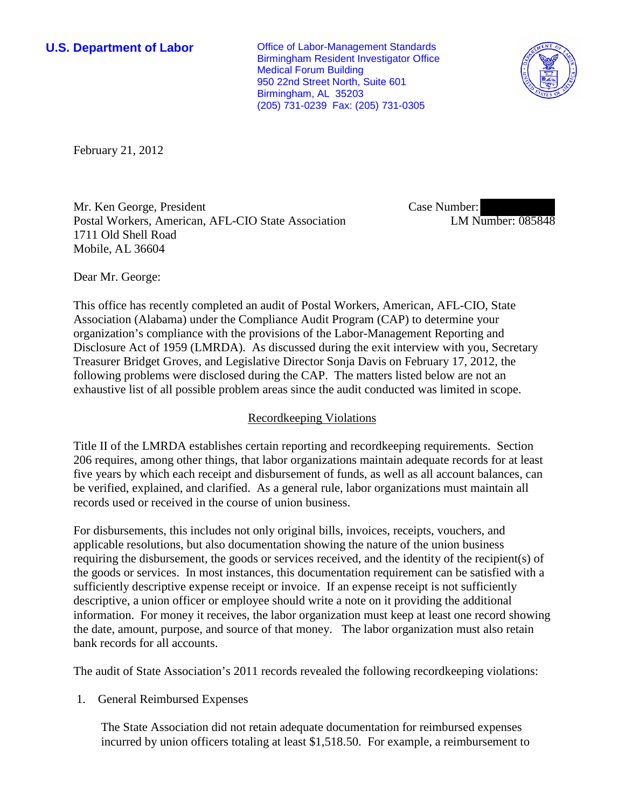**U.S. Department of Labor Office of Labor-Management Standards** Birmingham Resident Investigator Office Medical Forum Building 950 22nd Street North, Suite 601 Birmingham, AL 35203 (205) 731-0239 Fax: (205) 731-0305



February 21, 2012

Mr. Ken George, President Postal Workers, American, AFL-CIO State Association 1711 Old Shell Road Mobile, AL 36604

Case Number: LM Number: 085848

Dear Mr. George:

This office has recently completed an audit of Postal Workers, American, AFL-CIO, State Association (Alabama) under the Compliance Audit Program (CAP) to determine your organization's compliance with the provisions of the Labor-Management Reporting and Disclosure Act of 1959 (LMRDA). As discussed during the exit interview with you, Secretary Treasurer Bridget Groves, and Legislative Director Sonja Davis on February 17, 2012, the following problems were disclosed during the CAP. The matters listed below are not an exhaustive list of all possible problem areas since the audit conducted was limited in scope.

# Recordkeeping Violations

Title II of the LMRDA establishes certain reporting and recordkeeping requirements. Section 206 requires, among other things, that labor organizations maintain adequate records for at least five years by which each receipt and disbursement of funds, as well as all account balances, can be verified, explained, and clarified. As a general rule, labor organizations must maintain all records used or received in the course of union business.

For disbursements, this includes not only original bills, invoices, receipts, vouchers, and applicable resolutions, but also documentation showing the nature of the union business requiring the disbursement, the goods or services received, and the identity of the recipient(s) of the goods or services. In most instances, this documentation requirement can be satisfied with a sufficiently descriptive expense receipt or invoice. If an expense receipt is not sufficiently descriptive, a union officer or employee should write a note on it providing the additional information. For money it receives, the labor organization must keep at least one record showing the date, amount, purpose, and source of that money. The labor organization must also retain bank records for all accounts.

The audit of State Association's 2011 records revealed the following recordkeeping violations:

1. General Reimbursed Expenses

The State Association did not retain adequate documentation for reimbursed expenses incurred by union officers totaling at least \$1,518.50. For example, a reimbursement to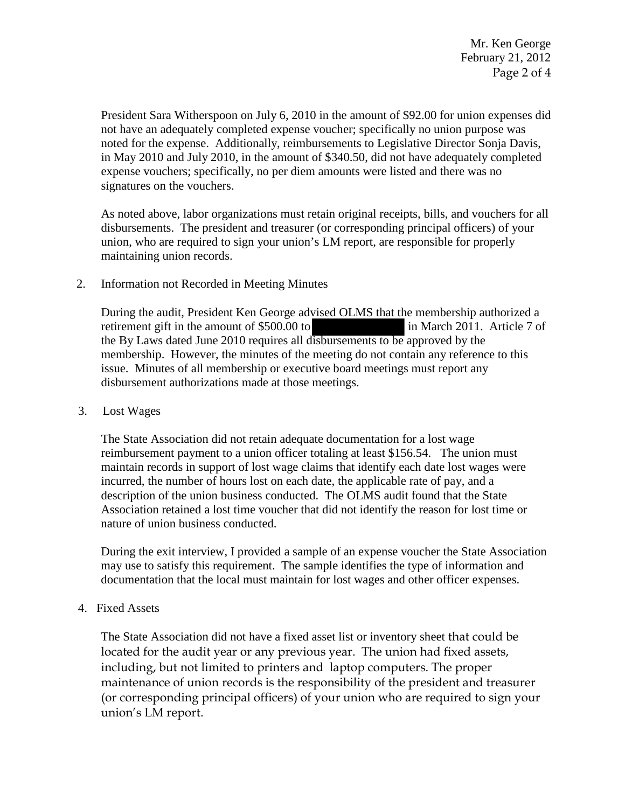Mr. Ken George February 21, 2012 Page 2 of 4

President Sara Witherspoon on July 6, 2010 in the amount of \$92.00 for union expenses did not have an adequately completed expense voucher; specifically no union purpose was noted for the expense. Additionally, reimbursements to Legislative Director Sonja Davis, in May 2010 and July 2010, in the amount of \$340.50, did not have adequately completed expense vouchers; specifically, no per diem amounts were listed and there was no signatures on the vouchers.

As noted above, labor organizations must retain original receipts, bills, and vouchers for all disbursements. The president and treasurer (or corresponding principal officers) of your union, who are required to sign your union's LM report, are responsible for properly maintaining union records.

## 2. Information not Recorded in Meeting Minutes

 During the audit, President Ken George advised OLMS that the membership authorized a retirement gift in the amount of \$500.00 to in March 2011. Article 7 of the By Laws dated June 2010 requires all disbursements to be approved by the membership. However, the minutes of the meeting do not contain any reference to this issue. Minutes of all membership or executive board meetings must report any disbursement authorizations made at those meetings.

## 3. Lost Wages

The State Association did not retain adequate documentation for a lost wage reimbursement payment to a union officer totaling at least \$156.54. The union must maintain records in support of lost wage claims that identify each date lost wages were incurred, the number of hours lost on each date, the applicable rate of pay, and a description of the union business conducted. The OLMS audit found that the State Association retained a lost time voucher that did not identify the reason for lost time or nature of union business conducted.

During the exit interview, I provided a sample of an expense voucher the State Association may use to satisfy this requirement. The sample identifies the type of information and documentation that the local must maintain for lost wages and other officer expenses.

# 4. Fixed Assets

The State Association did not have a fixed asset list or inventory sheet that could be located for the audit year or any previous year. The union had fixed assets, including, but not limited to printers and laptop computers. The proper maintenance of union records is the responsibility of the president and treasurer (or corresponding principal officers) of your union who are required to sign your union's LM report.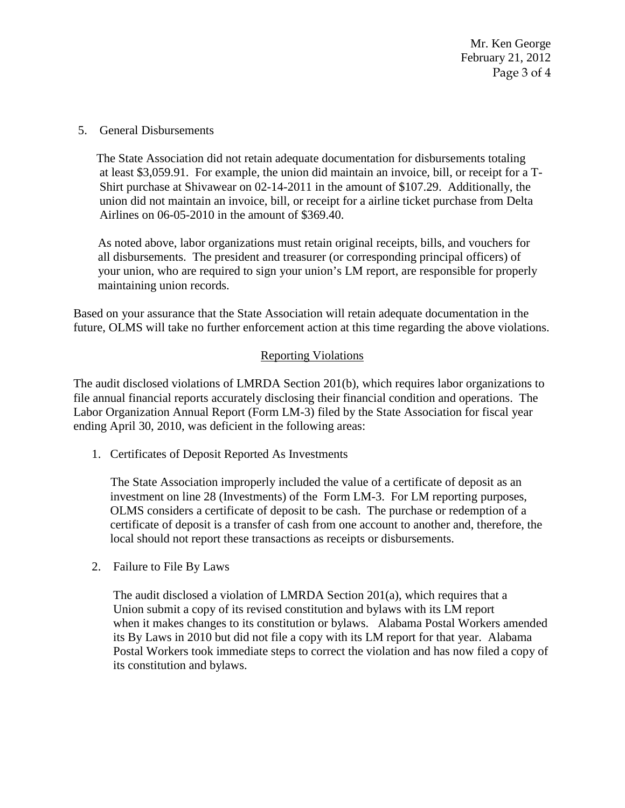Mr. Ken George February 21, 2012 Page 3 of 4

5. General Disbursements

The State Association did not retain adequate documentation for disbursements totaling at least \$3,059.91. For example, the union did maintain an invoice, bill, or receipt for a T-Shirt purchase at Shivawear on 02-14-2011 in the amount of \$107.29. Additionally, the union did not maintain an invoice, bill, or receipt for a airline ticket purchase from Delta Airlines on 06-05-2010 in the amount of \$369.40.

 As noted above, labor organizations must retain original receipts, bills, and vouchers for all disbursements. The president and treasurer (or corresponding principal officers) of your union, who are required to sign your union's LM report, are responsible for properly maintaining union records.

Based on your assurance that the State Association will retain adequate documentation in the future, OLMS will take no further enforcement action at this time regarding the above violations.

## Reporting Violations

The audit disclosed violations of LMRDA Section 201(b), which requires labor organizations to file annual financial reports accurately disclosing their financial condition and operations. The Labor Organization Annual Report (Form LM-3) filed by the State Association for fiscal year ending April 30, 2010, was deficient in the following areas:

1. Certificates of Deposit Reported As Investments

The State Association improperly included the value of a certificate of deposit as an investment on line 28 (Investments) of the Form LM-3. For LM reporting purposes, OLMS considers a certificate of deposit to be cash. The purchase or redemption of a certificate of deposit is a transfer of cash from one account to another and, therefore, the local should not report these transactions as receipts or disbursements.

2. Failure to File By Laws

 The audit disclosed a violation of LMRDA Section 201(a), which requires that a Union submit a copy of its revised constitution and bylaws with its LM report when it makes changes to its constitution or bylaws. Alabama Postal Workers amended its By Laws in 2010 but did not file a copy with its LM report for that year. Alabama Postal Workers took immediate steps to correct the violation and has now filed a copy of its constitution and bylaws.